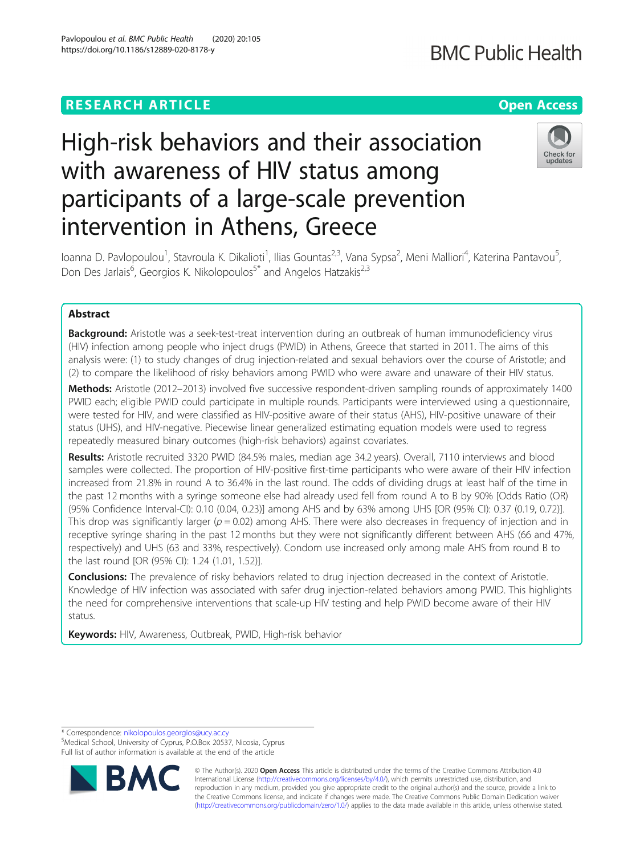# **RESEARCH ARTICLE Example 2014 12:30 The Contract of Contract ACCESS**

# High-risk behaviors and their association with awareness of HIV status among participants of a large-scale prevention intervention in Athens, Greece

loanna D. Pavlopoulou<sup>1</sup>, Stavroula K. Dikalioti<sup>1</sup>, Ilias Gountas<sup>2,3</sup>, Vana Sypsa<sup>2</sup>, Meni Malliori<sup>4</sup>, Katerina Pantavou<sup>5</sup> .<br>، Don Des Jarlais<sup>6</sup>, Georgios K. Nikolopoulos<sup>5\*</sup> and Angelos Hatzakis<sup>2,3</sup>

# Abstract

**Background:** Aristotle was a seek-test-treat intervention during an outbreak of human immunodeficiency virus (HIV) infection among people who inject drugs (PWID) in Athens, Greece that started in 2011. The aims of this analysis were: (1) to study changes of drug injection-related and sexual behaviors over the course of Aristotle; and (2) to compare the likelihood of risky behaviors among PWID who were aware and unaware of their HIV status.

Methods: Aristotle (2012–2013) involved five successive respondent-driven sampling rounds of approximately 1400 PWID each; eligible PWID could participate in multiple rounds. Participants were interviewed using a questionnaire, were tested for HIV, and were classified as HIV-positive aware of their status (AHS), HIV-positive unaware of their status (UHS), and HIV-negative. Piecewise linear generalized estimating equation models were used to regress repeatedly measured binary outcomes (high-risk behaviors) against covariates.

Results: Aristotle recruited 3320 PWID (84.5% males, median age 34.2 years). Overall, 7110 interviews and blood samples were collected. The proportion of HIV-positive first-time participants who were aware of their HIV infection increased from 21.8% in round A to 36.4% in the last round. The odds of dividing drugs at least half of the time in the past 12 months with a syringe someone else had already used fell from round A to B by 90% [Odds Ratio (OR) (95% Confidence Interval-CI): 0.10 (0.04, 0.23)] among AHS and by 63% among UHS [OR (95% CI): 0.37 (0.19, 0.72)]. This drop was significantly larger ( $p = 0.02$ ) among AHS. There were also decreases in frequency of injection and in receptive syringe sharing in the past 12 months but they were not significantly different between AHS (66 and 47%, respectively) and UHS (63 and 33%, respectively). Condom use increased only among male AHS from round B to the last round [OR (95% CI): 1.24 (1.01, 1.52)].

Conclusions: The prevalence of risky behaviors related to drug injection decreased in the context of Aristotle. Knowledge of HIV infection was associated with safer drug injection-related behaviors among PWID. This highlights the need for comprehensive interventions that scale-up HIV testing and help PWID become aware of their HIV status.

Keywords: HIV, Awareness, Outbreak, PWID, High-risk behavior

\* Correspondence: [nikolopoulos.georgios@ucy.ac.cy](mailto:nikolopoulos.georgios@ucy.ac.cy) <sup>5</sup>

Medical School, University of Cyprus, P.O.Box 20537, Nicosia, Cyprus Full list of author information is available at the end of the article

> © The Author(s). 2020 **Open Access** This article is distributed under the terms of the Creative Commons Attribution 4.0 International License [\(http://creativecommons.org/licenses/by/4.0/](http://creativecommons.org/licenses/by/4.0/)), which permits unrestricted use, distribution, and reproduction in any medium, provided you give appropriate credit to the original author(s) and the source, provide a link to the Creative Commons license, and indicate if changes were made. The Creative Commons Public Domain Dedication waiver [\(http://creativecommons.org/publicdomain/zero/1.0/](http://creativecommons.org/publicdomain/zero/1.0/)) applies to the data made available in this article, unless otherwise stated.



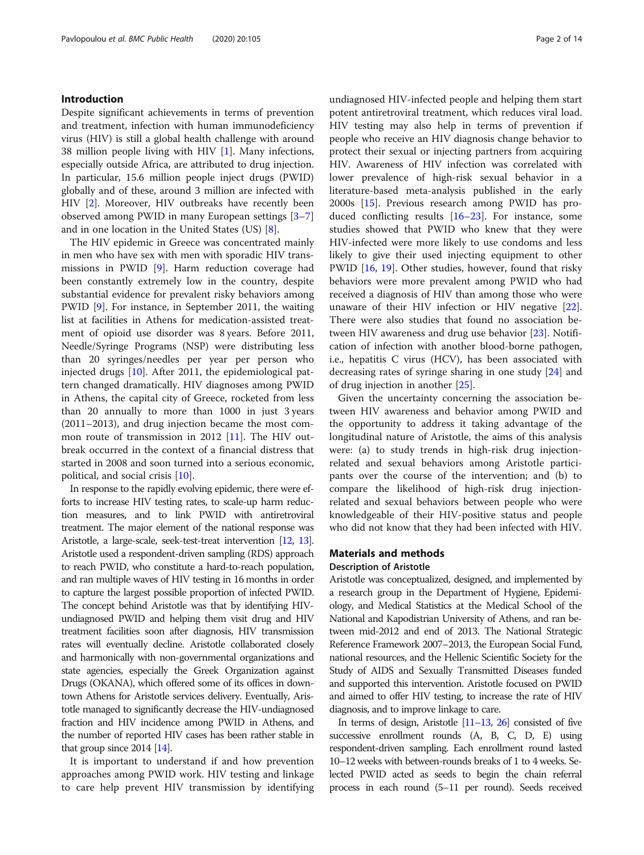# Introduction

Despite significant achievements in terms of prevention and treatment, infection with human immunodeficiency virus (HIV) is still a global health challenge with around 38 million people living with HIV [\[1](#page-11-0)]. Many infections, especially outside Africa, are attributed to drug injection. In particular, 15.6 million people inject drugs (PWID) globally and of these, around 3 million are infected with HIV [\[2](#page-11-0)]. Moreover, HIV outbreaks have recently been observed among PWID in many European settings [[3](#page-11-0)–[7](#page-11-0)] and in one location in the United States (US) [\[8](#page-11-0)].

The HIV epidemic in Greece was concentrated mainly in men who have sex with men with sporadic HIV transmissions in PWID [\[9](#page-11-0)]. Harm reduction coverage had been constantly extremely low in the country, despite substantial evidence for prevalent risky behaviors among PWID [\[9](#page-11-0)]. For instance, in September 2011, the waiting list at facilities in Athens for medication-assisted treatment of opioid use disorder was 8 years. Before 2011, Needle/Syringe Programs (NSP) were distributing less than 20 syringes/needles per year per person who injected drugs [[10](#page-11-0)]. After 2011, the epidemiological pattern changed dramatically. HIV diagnoses among PWID in Athens, the capital city of Greece, rocketed from less than 20 annually to more than 1000 in just 3 years (2011–2013), and drug injection became the most common route of transmission in 2012 [\[11\]](#page-11-0). The HIV outbreak occurred in the context of a financial distress that started in 2008 and soon turned into a serious economic, political, and social crisis [[10\]](#page-11-0).

In response to the rapidly evolving epidemic, there were efforts to increase HIV testing rates, to scale-up harm reduction measures, and to link PWID with antiretroviral treatment. The major element of the national response was Aristotle, a large-scale, seek-test-treat intervention [\[12](#page-11-0), [13\]](#page-11-0). Aristotle used a respondent-driven sampling (RDS) approach to reach PWID, who constitute a hard-to-reach population, and ran multiple waves of HIV testing in 16 months in order to capture the largest possible proportion of infected PWID. The concept behind Aristotle was that by identifying HIVundiagnosed PWID and helping them visit drug and HIV treatment facilities soon after diagnosis, HIV transmission rates will eventually decline. Aristotle collaborated closely and harmonically with non-governmental organizations and state agencies, especially the Greek Organization against Drugs (OKANA), which offered some of its offices in downtown Athens for Aristotle services delivery. Eventually, Aristotle managed to significantly decrease the HIV-undiagnosed fraction and HIV incidence among PWID in Athens, and the number of reported HIV cases has been rather stable in that group since 2014 [\[14](#page-11-0)].

It is important to understand if and how prevention approaches among PWID work. HIV testing and linkage to care help prevent HIV transmission by identifying

undiagnosed HIV-infected people and helping them start potent antiretroviral treatment, which reduces viral load. HIV testing may also help in terms of prevention if people who receive an HIV diagnosis change behavior to protect their sexual or injecting partners from acquiring HIV. Awareness of HIV infection was correlated with lower prevalence of high-risk sexual behavior in a literature-based meta-analysis published in the early 2000s [[15\]](#page-11-0). Previous research among PWID has produced conflicting results  $[16-23]$  $[16-23]$  $[16-23]$  $[16-23]$ . For instance, some studies showed that PWID who knew that they were HIV-infected were more likely to use condoms and less likely to give their used injecting equipment to other PWID [\[16](#page-11-0), [19](#page-12-0)]. Other studies, however, found that risky behaviors were more prevalent among PWID who had received a diagnosis of HIV than among those who were unaware of their HIV infection or HIV negative [\[22](#page-12-0)]. There were also studies that found no association between HIV awareness and drug use behavior [\[23](#page-12-0)]. Notification of infection with another blood-borne pathogen, i.e., hepatitis C virus (HCV), has been associated with decreasing rates of syringe sharing in one study [\[24](#page-12-0)] and of drug injection in another [\[25](#page-12-0)].

Given the uncertainty concerning the association between HIV awareness and behavior among PWID and the opportunity to address it taking advantage of the longitudinal nature of Aristotle, the aims of this analysis were: (a) to study trends in high-risk drug injectionrelated and sexual behaviors among Aristotle participants over the course of the intervention; and (b) to compare the likelihood of high-risk drug injectionrelated and sexual behaviors between people who were knowledgeable of their HIV-positive status and people who did not know that they had been infected with HIV.

# Materials and methods

### Description of Aristotle

Aristotle was conceptualized, designed, and implemented by a research group in the Department of Hygiene, Epidemiology, and Medical Statistics at the Medical School of the National and Kapodistrian University of Athens, and ran between mid-2012 and end of 2013. The National Strategic Reference Framework 2007–2013, the European Social Fund, national resources, and the Hellenic Scientific Society for the Study of AIDS and Sexually Transmitted Diseases funded and supported this intervention. Aristotle focused on PWID and aimed to offer HIV testing, to increase the rate of HIV diagnosis, and to improve linkage to care.

In terms of design, Aristotle  $[11–13, 26]$  $[11–13, 26]$  $[11–13, 26]$  $[11–13, 26]$  $[11–13, 26]$  consisted of five successive enrollment rounds (A, B, C, D, E) using respondent-driven sampling. Each enrollment round lasted 10–12 weeks with between-rounds breaks of 1 to 4 weeks. Selected PWID acted as seeds to begin the chain referral process in each round (5–11 per round). Seeds received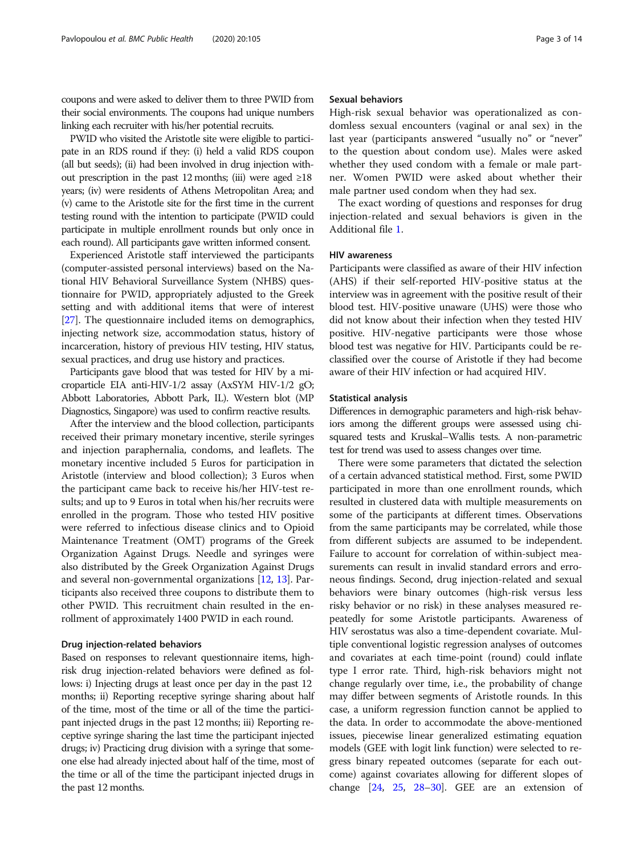coupons and were asked to deliver them to three PWID from their social environments. The coupons had unique numbers linking each recruiter with his/her potential recruits.

PWID who visited the Aristotle site were eligible to participate in an RDS round if they: (i) held a valid RDS coupon (all but seeds); (ii) had been involved in drug injection without prescription in the past 12 months; (iii) were aged  $\geq 18$ years; (iv) were residents of Athens Metropolitan Area; and (v) came to the Aristotle site for the first time in the current testing round with the intention to participate (PWID could participate in multiple enrollment rounds but only once in each round). All participants gave written informed consent.

Experienced Aristotle staff interviewed the participants (computer-assisted personal interviews) based on the National HIV Behavioral Surveillance System (NHBS) questionnaire for PWID, appropriately adjusted to the Greek setting and with additional items that were of interest [[27](#page-12-0)]. The questionnaire included items on demographics, injecting network size, accommodation status, history of incarceration, history of previous HIV testing, HIV status, sexual practices, and drug use history and practices.

Participants gave blood that was tested for HIV by a microparticle EIA anti-HIV-1/2 assay (AxSYM HIV-1/2 gO; Abbott Laboratories, Abbott Park, IL). Western blot (MP Diagnostics, Singapore) was used to confirm reactive results.

After the interview and the blood collection, participants received their primary monetary incentive, sterile syringes and injection paraphernalia, condoms, and leaflets. The monetary incentive included 5 Euros for participation in Aristotle (interview and blood collection); 3 Euros when the participant came back to receive his/her HIV-test results; and up to 9 Euros in total when his/her recruits were enrolled in the program. Those who tested HIV positive were referred to infectious disease clinics and to Opioid Maintenance Treatment (OMT) programs of the Greek Organization Against Drugs. Needle and syringes were also distributed by the Greek Organization Against Drugs and several non-governmental organizations [\[12,](#page-11-0) [13](#page-11-0)]. Participants also received three coupons to distribute them to other PWID. This recruitment chain resulted in the enrollment of approximately 1400 PWID in each round.

# Drug injection-related behaviors

Based on responses to relevant questionnaire items, highrisk drug injection-related behaviors were defined as follows: i) Injecting drugs at least once per day in the past 12 months; ii) Reporting receptive syringe sharing about half of the time, most of the time or all of the time the participant injected drugs in the past 12 months; iii) Reporting receptive syringe sharing the last time the participant injected drugs; iv) Practicing drug division with a syringe that someone else had already injected about half of the time, most of the time or all of the time the participant injected drugs in the past 12 months.

# Sexual behaviors

High-risk sexual behavior was operationalized as condomless sexual encounters (vaginal or anal sex) in the last year (participants answered "usually no" or "never" to the question about condom use). Males were asked whether they used condom with a female or male partner. Women PWID were asked about whether their male partner used condom when they had sex.

The exact wording of questions and responses for drug injection-related and sexual behaviors is given in the Additional file [1](#page-10-0).

# HIV awareness

Participants were classified as aware of their HIV infection (AHS) if their self-reported HIV-positive status at the interview was in agreement with the positive result of their blood test. HIV-positive unaware (UHS) were those who did not know about their infection when they tested HIV positive. HIV-negative participants were those whose blood test was negative for HIV. Participants could be reclassified over the course of Aristotle if they had become aware of their HIV infection or had acquired HIV.

#### Statistical analysis

Differences in demographic parameters and high-risk behaviors among the different groups were assessed using chisquared tests and Kruskal–Wallis tests. A non-parametric test for trend was used to assess changes over time.

There were some parameters that dictated the selection of a certain advanced statistical method. First, some PWID participated in more than one enrollment rounds, which resulted in clustered data with multiple measurements on some of the participants at different times. Observations from the same participants may be correlated, while those from different subjects are assumed to be independent. Failure to account for correlation of within-subject measurements can result in invalid standard errors and erroneous findings. Second, drug injection-related and sexual behaviors were binary outcomes (high-risk versus less risky behavior or no risk) in these analyses measured repeatedly for some Aristotle participants. Awareness of HIV serostatus was also a time-dependent covariate. Multiple conventional logistic regression analyses of outcomes and covariates at each time-point (round) could inflate type I error rate. Third, high-risk behaviors might not change regularly over time, i.e., the probability of change may differ between segments of Aristotle rounds. In this case, a uniform regression function cannot be applied to the data. In order to accommodate the above-mentioned issues, piecewise linear generalized estimating equation models (GEE with logit link function) were selected to regress binary repeated outcomes (separate for each outcome) against covariates allowing for different slopes of change [[24](#page-12-0), [25,](#page-12-0) [28](#page-12-0)–[30](#page-12-0)]. GEE are an extension of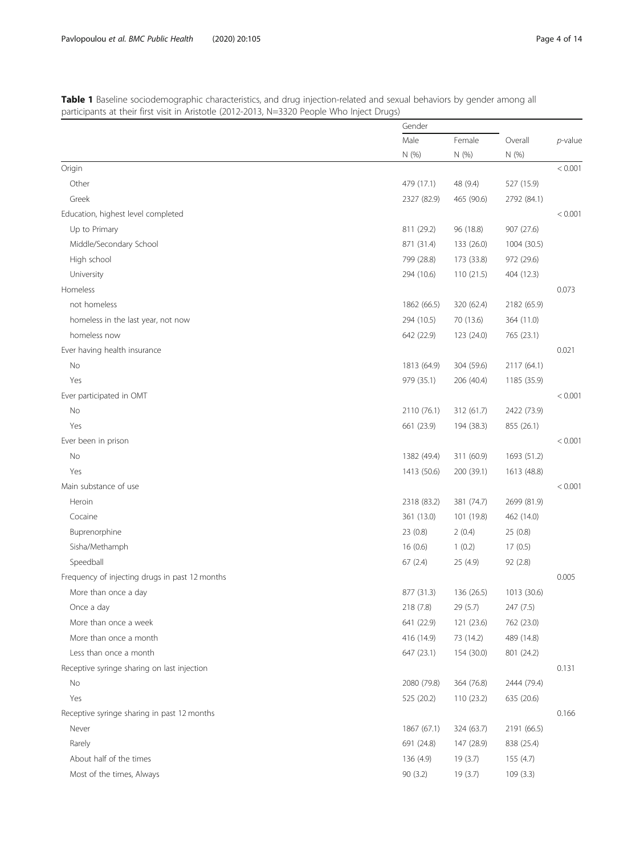<span id="page-3-0"></span>

| Table 1 Baseline sociodemographic characteristics, and drug injection-related and sexual behaviors by gender among all |  |
|------------------------------------------------------------------------------------------------------------------------|--|
| participants at their first visit in Aristotle (2012-2013, N=3320 People Who Inject Drugs)                             |  |

|                                                | Gender      |            |             |            |
|------------------------------------------------|-------------|------------|-------------|------------|
|                                                | Male        | Female     | Overall     | $p$ -value |
|                                                | N (%)       | N (%)      | N (%)       |            |
| Origin                                         |             |            |             | < 0.001    |
| Other                                          | 479 (17.1)  | 48 (9.4)   | 527 (15.9)  |            |
| Greek                                          | 2327 (82.9) | 465 (90.6) | 2792 (84.1) |            |
| Education, highest level completed             |             |            |             | < 0.001    |
| Up to Primary                                  | 811 (29.2)  | 96 (18.8)  | 907 (27.6)  |            |
| Middle/Secondary School                        | 871 (31.4)  | 133 (26.0) | 1004 (30.5) |            |
| High school                                    | 799 (28.8)  | 173 (33.8) | 972 (29.6)  |            |
| University                                     | 294 (10.6)  | 110(21.5)  | 404 (12.3)  |            |
| Homeless                                       |             |            |             | 0.073      |
| not homeless                                   | 1862 (66.5) | 320 (62.4) | 2182 (65.9) |            |
| homeless in the last year, not now             | 294 (10.5)  | 70 (13.6)  | 364 (11.0)  |            |
| homeless now                                   | 642 (22.9)  | 123 (24.0) | 765 (23.1)  |            |
| Ever having health insurance                   |             |            |             | 0.021      |
| No                                             | 1813 (64.9) | 304 (59.6) | 2117 (64.1) |            |
| Yes                                            | 979 (35.1)  | 206 (40.4) | 1185 (35.9) |            |
| Ever participated in OMT                       |             |            |             | < 0.001    |
| No                                             | 2110 (76.1) | 312 (61.7) | 2422 (73.9) |            |
| Yes                                            | 661 (23.9)  | 194 (38.3) | 855 (26.1)  |            |
| Ever been in prison                            |             |            |             | < 0.001    |
| No                                             | 1382 (49.4) | 311 (60.9) | 1693 (51.2) |            |
| Yes                                            | 1413 (50.6) | 200 (39.1) | 1613 (48.8) |            |
| Main substance of use                          |             |            |             | < 0.001    |
| Heroin                                         | 2318 (83.2) | 381 (74.7) | 2699 (81.9) |            |
| Cocaine                                        | 361 (13.0)  | 101 (19.8) | 462 (14.0)  |            |
| Buprenorphine                                  | 23 (0.8)    | 2(0.4)     | 25(0.8)     |            |
| Sisha/Methamph                                 | 16(0.6)     | 1(0.2)     | 17(0.5)     |            |
| Speedball                                      | 67(2.4)     | 25 (4.9)   | 92 (2.8)    |            |
| Frequency of injecting drugs in past 12 months |             |            |             | 0.005      |
| More than once a day                           | 877 (31.3)  | 136 (26.5) | 1013 (30.6) |            |
| Once a day                                     | 218 (7.8)   | 29 (5.7)   | 247 (7.5)   |            |
| More than once a week                          | 641 (22.9)  | 121 (23.6) | 762 (23.0)  |            |
| More than once a month                         | 416 (14.9)  | 73 (14.2)  | 489 (14.8)  |            |
| Less than once a month                         | 647 (23.1)  | 154 (30.0) | 801 (24.2)  |            |
| Receptive syringe sharing on last injection    |             |            |             | 0.131      |
| No                                             | 2080 (79.8) | 364 (76.8) | 2444 (79.4) |            |
| Yes                                            | 525 (20.2)  | 110 (23.2) | 635 (20.6)  |            |
| Receptive syringe sharing in past 12 months    |             |            |             | 0.166      |
| Never                                          | 1867 (67.1) | 324 (63.7) | 2191 (66.5) |            |
| Rarely                                         | 691 (24.8)  | 147 (28.9) | 838 (25.4)  |            |
| About half of the times                        | 136 (4.9)   | 19(3.7)    | 155 (4.7)   |            |
| Most of the times, Always                      | 90 (3.2)    | 19(3.7)    | 109(3.3)    |            |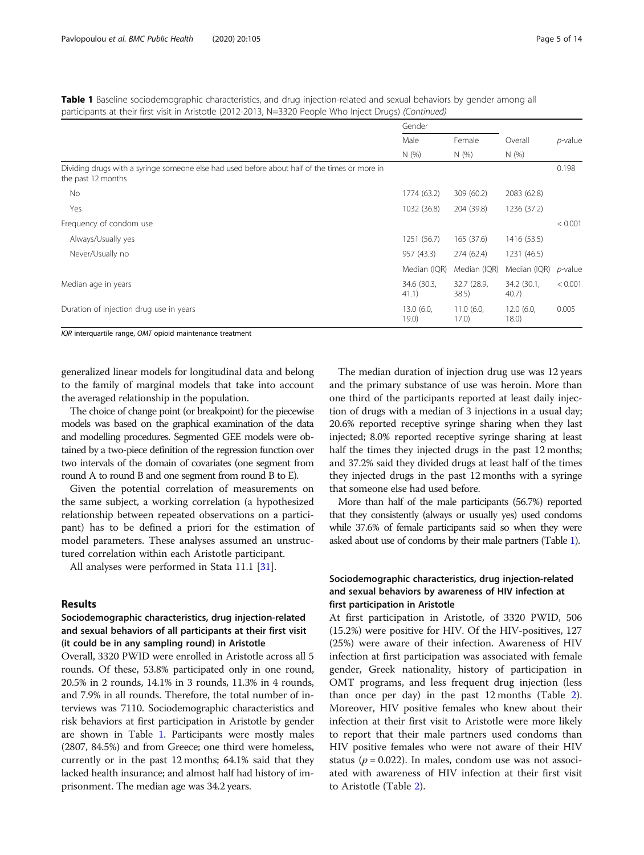Table 1 Baseline sociodemographic characteristics, and drug injection-related and sexual behaviors by gender among all participants at their first visit in Aristotle (2012-2013, N=3320 People Who Inject Drugs) (Continued)

|                                                                                                                     | Gender               |                      |                      |                 |
|---------------------------------------------------------------------------------------------------------------------|----------------------|----------------------|----------------------|-----------------|
|                                                                                                                     | Male                 | Female               | Overall              | p-value         |
|                                                                                                                     | N(%                  | N(%)                 | N(%                  |                 |
| Dividing drugs with a syringe someone else had used before about half of the times or more in<br>the past 12 months |                      |                      |                      | 0.198           |
| No                                                                                                                  | 1774 (63.2)          | 309 (60.2)           | 2083 (62.8)          |                 |
| Yes                                                                                                                 | 1032 (36.8)          | 204 (39.8)           | 1236 (37.2)          |                 |
| Frequency of condom use                                                                                             |                      |                      |                      | < 0.001         |
| Always/Usually yes                                                                                                  | 1251 (56.7)          | 165(37.6)            | 1416 (53.5)          |                 |
| Never/Usually no                                                                                                    | 957 (43.3)           | 274 (62.4)           | 1231 (46.5)          |                 |
|                                                                                                                     | Median (IQR)         | Median (IQR)         | Median (IQR)         | <i>p</i> -value |
| Median age in years                                                                                                 | 34.6 (30.3,<br>41.1) | 32.7 (28.9,<br>38.5) | 34.2 (30.1,<br>40.7) | < 0.001         |
| Duration of injection drug use in years                                                                             | 13.0(6.0,<br>19.0)   | 11.0(6.0,<br>17.0)   | 12.0 (6.0,<br>18.0)  | 0.005           |

IQR interquartile range, OMT opioid maintenance treatment

generalized linear models for longitudinal data and belong to the family of marginal models that take into account the averaged relationship in the population.

The choice of change point (or breakpoint) for the piecewise models was based on the graphical examination of the data and modelling procedures. Segmented GEE models were obtained by a two-piece definition of the regression function over two intervals of the domain of covariates (one segment from round A to round B and one segment from round B to E).

Given the potential correlation of measurements on the same subject, a working correlation (a hypothesized relationship between repeated observations on a participant) has to be defined a priori for the estimation of model parameters. These analyses assumed an unstructured correlation within each Aristotle participant.

All analyses were performed in Stata 11.1 [[31\]](#page-12-0).

# Results

# Sociodemographic characteristics, drug injection-related and sexual behaviors of all participants at their first visit (it could be in any sampling round) in Aristotle

Overall, 3320 PWID were enrolled in Aristotle across all 5 rounds. Of these, 53.8% participated only in one round, 20.5% in 2 rounds, 14.1% in 3 rounds, 11.3% in 4 rounds, and 7.9% in all rounds. Therefore, the total number of interviews was 7110. Sociodemographic characteristics and risk behaviors at first participation in Aristotle by gender are shown in Table [1](#page-3-0). Participants were mostly males (2807, 84.5%) and from Greece; one third were homeless, currently or in the past 12 months; 64.1% said that they lacked health insurance; and almost half had history of imprisonment. The median age was 34.2 years.

The median duration of injection drug use was 12 years and the primary substance of use was heroin. More than one third of the participants reported at least daily injection of drugs with a median of 3 injections in a usual day; 20.6% reported receptive syringe sharing when they last injected; 8.0% reported receptive syringe sharing at least half the times they injected drugs in the past 12 months; and 37.2% said they divided drugs at least half of the times they injected drugs in the past 12 months with a syringe that someone else had used before.

More than half of the male participants (56.7%) reported that they consistently (always or usually yes) used condoms while 37.6% of female participants said so when they were asked about use of condoms by their male partners (Table [1\)](#page-3-0).

# Sociodemographic characteristics, drug injection-related and sexual behaviors by awareness of HIV infection at first participation in Aristotle

At first participation in Aristotle, of 3320 PWID, 506 (15.2%) were positive for HIV. Of the HIV-positives, 127 (25%) were aware of their infection. Awareness of HIV infection at first participation was associated with female gender, Greek nationality, history of participation in OMT programs, and less frequent drug injection (less than once per day) in the past 12 months (Table [2](#page-5-0)). Moreover, HIV positive females who knew about their infection at their first visit to Aristotle were more likely to report that their male partners used condoms than HIV positive females who were not aware of their HIV status ( $p = 0.022$ ). In males, condom use was not associated with awareness of HIV infection at their first visit to Aristotle (Table [2](#page-5-0)).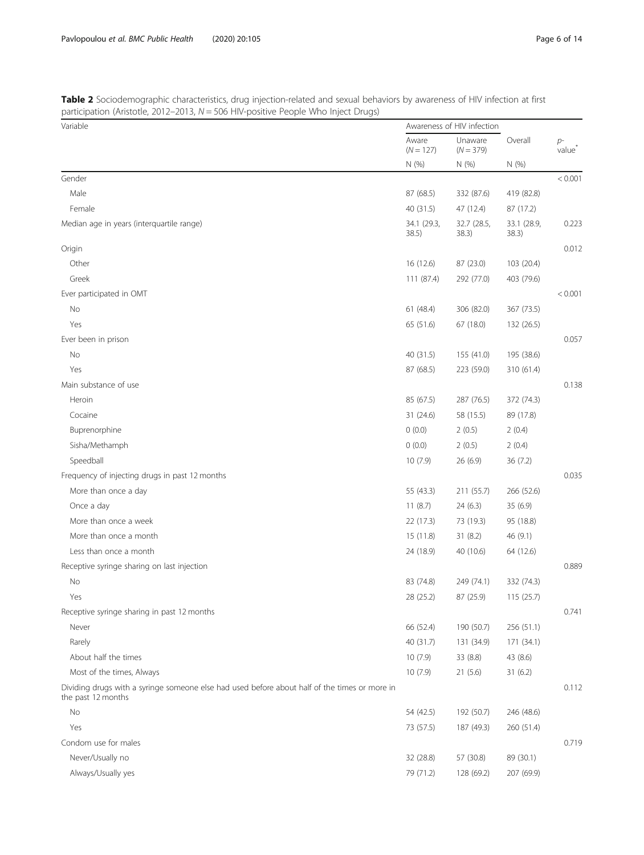<span id="page-5-0"></span>

| Table 2 Sociodemographic characteristics, drug injection-related and sexual behaviors by awareness of HIV infection at first |  |
|------------------------------------------------------------------------------------------------------------------------------|--|
| participation (Aristotle, 2012–2013, $N = 506$ HIV-positive People Who Inject Drugs)                                         |  |

| Variable                                                                                                            |                      | Awareness of HIV infection |                      |                            |
|---------------------------------------------------------------------------------------------------------------------|----------------------|----------------------------|----------------------|----------------------------|
|                                                                                                                     |                      | Unaware<br>$(N = 379)$     | Overall              | $p-$<br>value <sup>*</sup> |
|                                                                                                                     | N(% )                | N (%)                      | N (%)                |                            |
| Gender                                                                                                              |                      |                            |                      | < 0.001                    |
| Male                                                                                                                | 87 (68.5)            | 332 (87.6)                 | 419 (82.8)           |                            |
| Female                                                                                                              | 40 (31.5)            | 47 (12.4)                  | 87 (17.2)            |                            |
| Median age in years (interquartile range)                                                                           | 34.1 (29.3,<br>38.5) | 32.7 (28.5,<br>38.3)       | 33.1 (28.9,<br>38.3) | 0.223                      |
| Origin                                                                                                              |                      |                            |                      | 0.012                      |
| Other                                                                                                               | 16 (12.6)            | 87 (23.0)                  | 103 (20.4)           |                            |
| Greek                                                                                                               | 111 (87.4)           | 292 (77.0)                 | 403 (79.6)           |                            |
| Ever participated in OMT                                                                                            |                      |                            |                      | < 0.001                    |
| No                                                                                                                  | 61 (48.4)            | 306 (82.0)                 | 367 (73.5)           |                            |
| Yes                                                                                                                 | 65 (51.6)            | 67 (18.0)                  | 132 (26.5)           |                            |
| Ever been in prison                                                                                                 |                      |                            |                      | 0.057                      |
| No                                                                                                                  | 40 (31.5)            | 155 (41.0)                 | 195 (38.6)           |                            |
| Yes                                                                                                                 | 87 (68.5)            | 223 (59.0)                 | 310 (61.4)           |                            |
| Main substance of use                                                                                               |                      |                            |                      | 0.138                      |
| Heroin                                                                                                              | 85 (67.5)            | 287 (76.5)                 | 372 (74.3)           |                            |
| Cocaine                                                                                                             | 31(24.6)             | 58 (15.5)                  | 89 (17.8)            |                            |
| Buprenorphine                                                                                                       | 0(0.0)               | 2(0.5)                     | 2(0.4)               |                            |
| Sisha/Methamph                                                                                                      | 0(0.0)               | 2(0.5)                     | 2(0.4)               |                            |
| Speedball                                                                                                           | 10(7.9)              | 26(6.9)                    | 36 (7.2)             |                            |
| Frequency of injecting drugs in past 12 months                                                                      |                      |                            |                      | 0.035                      |
| More than once a day                                                                                                | 55 (43.3)            | 211 (55.7)                 | 266 (52.6)           |                            |
| Once a day                                                                                                          | 11(8.7)              | 24(6.3)                    | 35 (6.9)             |                            |
| More than once a week                                                                                               | 22 (17.3)            | 73 (19.3)                  | 95 (18.8)            |                            |
| More than once a month                                                                                              | 15 (11.8)            | 31(8.2)                    | 46 (9.1)             |                            |
| Less than once a month                                                                                              | 24 (18.9)            | 40 (10.6)                  | 64 (12.6)            |                            |
| Receptive syringe sharing on last injection                                                                         |                      |                            |                      | 0.889                      |
| No                                                                                                                  | 83 (74.8)            | 249 (74.1)                 | 332 (74.3)           |                            |
| Yes                                                                                                                 | 28 (25.2)            | 87 (25.9)                  | 115(25.7)            |                            |
| Receptive syringe sharing in past 12 months                                                                         |                      |                            |                      | 0.741                      |
| Never                                                                                                               | 66 (52.4)            | 190 (50.7)                 | 256 (51.1)           |                            |
| Rarely                                                                                                              | 40 (31.7)            | 131 (34.9)                 | 171 (34.1)           |                            |
| About half the times                                                                                                | 10(7.9)              | 33 (8.8)                   | 43 (8.6)             |                            |
| Most of the times, Always                                                                                           | 10(7.9)              | 21(5.6)                    | 31(6.2)              |                            |
| Dividing drugs with a syringe someone else had used before about half of the times or more in<br>the past 12 months |                      |                            |                      | 0.112                      |
| No                                                                                                                  | 54 (42.5)            | 192 (50.7)                 | 246 (48.6)           |                            |
| Yes                                                                                                                 | 73 (57.5)            | 187 (49.3)                 | 260 (51.4)           |                            |
| Condom use for males                                                                                                |                      |                            |                      | 0.719                      |
| Never/Usually no                                                                                                    | 32 (28.8)            | 57 (30.8)                  | 89 (30.1)            |                            |
| Always/Usually yes                                                                                                  | 79 (71.2)            | 128 (69.2)                 | 207 (69.9)           |                            |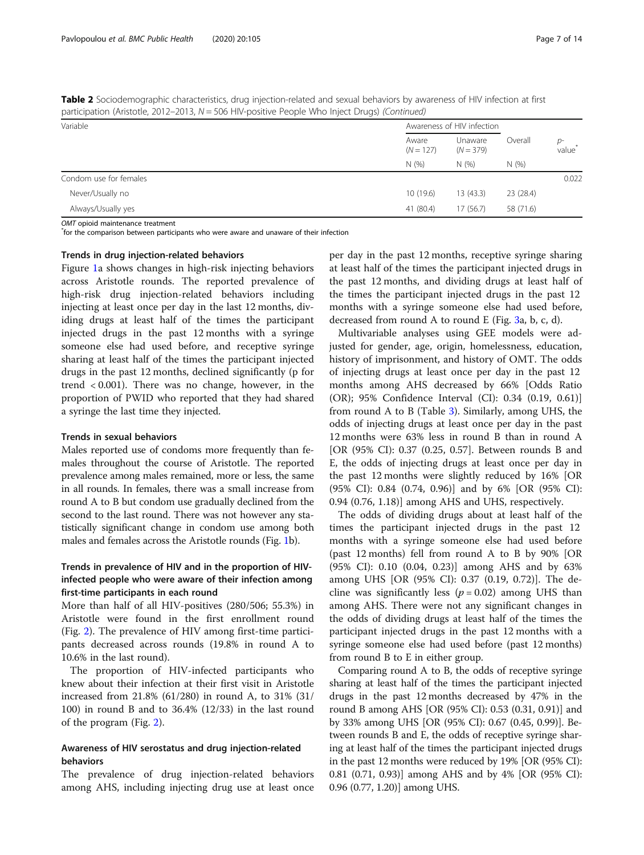| $patucipation (AitsIOue, 2012–2013, 19 = 506 HIV-positive People with Dfluct Drlugs) (Continued)$ |                      |                            |                |                            |  |
|---------------------------------------------------------------------------------------------------|----------------------|----------------------------|----------------|----------------------------|--|
| Variable                                                                                          |                      | Awareness of HIV infection |                |                            |  |
|                                                                                                   | Aware<br>$(N = 127)$ | Unaware<br>$(N = 379)$     | Overall<br>N(% | $p-$<br>value <sup>'</sup> |  |
|                                                                                                   | N(%                  | N(%)                       |                |                            |  |
| Condom use for females                                                                            |                      |                            |                | 0.022                      |  |
| Never/Usually no                                                                                  | 10(19.6)             | 13(43.3)                   | 23 (28.4)      |                            |  |
| Always/Usually yes                                                                                | 41 (80.4)            | 17(56.7)                   | 58 (71.6)      |                            |  |
|                                                                                                   |                      |                            |                |                            |  |

Table 2 Sociodemographic characteristics, drug injection-related and sexual behaviors by awareness of HIV infection at first participation (Aristotle, 2012–2013, N = 506 HIV-positive People Who Inject Drugs) (Continued)

OMT opioid maintenance treatment

for the comparison between participants who were aware and unaware of their infection

#### Trends in drug injection-related behaviors

Figure [1a](#page-7-0) shows changes in high-risk injecting behaviors across Aristotle rounds. The reported prevalence of high-risk drug injection-related behaviors including injecting at least once per day in the last 12 months, dividing drugs at least half of the times the participant injected drugs in the past 12 months with a syringe someone else had used before, and receptive syringe sharing at least half of the times the participant injected drugs in the past 12 months, declined significantly (p for trend < 0.001). There was no change, however, in the proportion of PWID who reported that they had shared a syringe the last time they injected.

# Trends in sexual behaviors

Males reported use of condoms more frequently than females throughout the course of Aristotle. The reported prevalence among males remained, more or less, the same in all rounds. In females, there was a small increase from round A to B but condom use gradually declined from the second to the last round. There was not however any statistically significant change in condom use among both males and females across the Aristotle rounds (Fig. [1](#page-7-0)b).

# Trends in prevalence of HIV and in the proportion of HIVinfected people who were aware of their infection among first-time participants in each round

More than half of all HIV-positives (280/506; 55.3%) in Aristotle were found in the first enrollment round (Fig. [2](#page-8-0)). The prevalence of HIV among first-time participants decreased across rounds (19.8% in round A to 10.6% in the last round).

The proportion of HIV-infected participants who knew about their infection at their first visit in Aristotle increased from 21.8% (61/280) in round A, to 31% (31/ 100) in round B and to 36.4% (12/33) in the last round of the program (Fig. [2\)](#page-8-0).

# Awareness of HIV serostatus and drug injection-related behaviors

The prevalence of drug injection-related behaviors among AHS, including injecting drug use at least once

per day in the past 12 months, receptive syringe sharing at least half of the times the participant injected drugs in the past 12 months, and dividing drugs at least half of the times the participant injected drugs in the past 12 months with a syringe someone else had used before, decreased from round A to round Ε (Fig. [3a](#page-9-0), b, c, d).

Multivariable analyses using GEE models were adjusted for gender, age, origin, homelessness, education, history of imprisonment, and history of OMT. The odds of injecting drugs at least once per day in the past 12 months among AHS decreased by 66% [Odds Ratio (OR); 95% Confidence Interval (CI): 0.34 (0.19, 0.61)] from round A to B (Table [3](#page-10-0)). Similarly, among UHS, the odds of injecting drugs at least once per day in the past 12 months were 63% less in round B than in round A [OR (95% CI): 0.37 (0.25, 0.57]. Between rounds B and E, the odds of injecting drugs at least once per day in the past 12 months were slightly reduced by 16% [OR (95% CI): 0.84 (0.74, 0.96)] and by 6% [OR (95% CI): 0.94 (0.76, 1.18)] among AHS and UHS, respectively.

The odds of dividing drugs about at least half of the times the participant injected drugs in the past 12 months with a syringe someone else had used before (past 12 months) fell from round A to B by 90% [OR (95% CI): 0.10 (0.04, 0.23)] among AHS and by 63% among UHS [OR (95% CI): 0.37 (0.19, 0.72)]. The decline was significantly less ( $p = 0.02$ ) among UHS than among AHS. There were not any significant changes in the odds of dividing drugs at least half of the times the participant injected drugs in the past 12 months with a syringe someone else had used before (past 12 months) from round B to E in either group.

Comparing round A to B, the odds of receptive syringe sharing at least half of the times the participant injected drugs in the past 12 months decreased by 47% in the round B among AHS [OR (95% CI): 0.53 (0.31, 0.91)] and by 33% among UHS [OR (95% CI): 0.67 (0.45, 0.99)]. Between rounds B and E, the odds of receptive syringe sharing at least half of the times the participant injected drugs in the past 12 months were reduced by 19% [OR (95% CI): 0.81 (0.71, 0.93)] among AHS and by 4% [OR (95% CI): 0.96 (0.77, 1.20)] among UHS.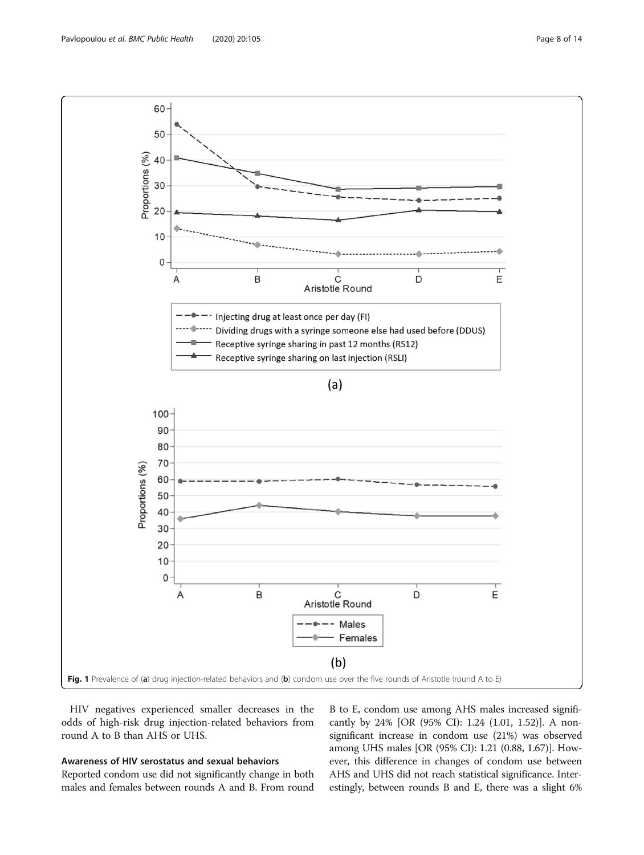<span id="page-7-0"></span>Pavlopoulou et al. BMC Public Health (2020) 20:105 Page 8 of 14



HIV negatives experienced smaller decreases in the odds of high-risk drug injection-related behaviors from round A to B than AHS or UHS.

# Awareness of HIV serostatus and sexual behaviors

Reported condom use did not significantly change in both males and females between rounds A and B. From round B to E, condom use among AHS males increased significantly by 24% [OR (95% CI): 1.24 (1.01, 1.52)]. A nonsignificant increase in condom use (21%) was observed among UHS males [OR (95% CI): 1.21 (0.88, 1.67)]. However, this difference in changes of condom use between AHS and UHS did not reach statistical significance. Interestingly, between rounds B and E, there was a slight 6%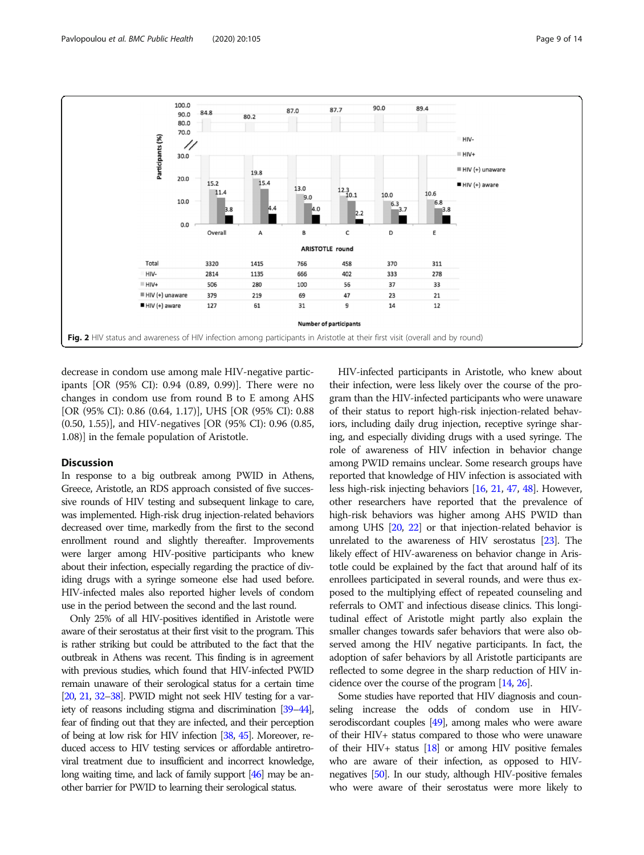<span id="page-8-0"></span>

decrease in condom use among male HIV-negative participants [OR (95% CI): 0.94 (0.89, 0.99)]. There were no changes in condom use from round B to E among AHS [OR (95% CI): 0.86 (0.64, 1.17)], UHS [OR (95% CI): 0.88 (0.50, 1.55)], and HIV-negatives [OR (95% CI): 0.96 (0.85, 1.08)] in the female population of Aristotle.

# **Discussion**

In response to a big outbreak among PWID in Athens, Greece, Aristotle, an RDS approach consisted of five successive rounds of HIV testing and subsequent linkage to care, was implemented. High-risk drug injection-related behaviors decreased over time, markedly from the first to the second enrollment round and slightly thereafter. Improvements were larger among HIV-positive participants who knew about their infection, especially regarding the practice of dividing drugs with a syringe someone else had used before. HIV-infected males also reported higher levels of condom use in the period between the second and the last round.

Only 25% of all HIV-positives identified in Aristotle were aware of their serostatus at their first visit to the program. This is rather striking but could be attributed to the fact that the outbreak in Athens was recent. This finding is in agreement with previous studies, which found that HIV-infected PWID remain unaware of their serological status for a certain time [\[20](#page-12-0), [21,](#page-12-0) [32](#page-12-0)–[38](#page-12-0)]. PWID might not seek HIV testing for a variety of reasons including stigma and discrimination [\[39](#page-12-0)–[44\]](#page-12-0), fear of finding out that they are infected, and their perception of being at low risk for HIV infection [[38,](#page-12-0) [45\]](#page-12-0). Moreover, reduced access to HIV testing services or affordable antiretroviral treatment due to insufficient and incorrect knowledge, long waiting time, and lack of family support [\[46\]](#page-12-0) may be another barrier for PWID to learning their serological status.

HIV-infected participants in Aristotle, who knew about their infection, were less likely over the course of the program than the HIV-infected participants who were unaware of their status to report high-risk injection-related behaviors, including daily drug injection, receptive syringe sharing, and especially dividing drugs with a used syringe. The role of awareness of HIV infection in behavior change among PWID remains unclear. Some research groups have reported that knowledge of HIV infection is associated with less high-risk injecting behaviors [[16](#page-11-0), [21,](#page-12-0) [47](#page-12-0), [48](#page-12-0)]. However, other researchers have reported that the prevalence of high-risk behaviors was higher among AHS PWID than among UHS [\[20,](#page-12-0) [22](#page-12-0)] or that injection-related behavior is unrelated to the awareness of HIV serostatus [\[23\]](#page-12-0). The likely effect of HIV-awareness on behavior change in Aristotle could be explained by the fact that around half of its enrollees participated in several rounds, and were thus exposed to the multiplying effect of repeated counseling and referrals to OMT and infectious disease clinics. This longitudinal effect of Aristotle might partly also explain the smaller changes towards safer behaviors that were also observed among the HIV negative participants. In fact, the adoption of safer behaviors by all Aristotle participants are reflected to some degree in the sharp reduction of HIV incidence over the course of the program [\[14](#page-11-0), [26\]](#page-12-0).

Some studies have reported that HIV diagnosis and counseling increase the odds of condom use in HIVserodiscordant couples [\[49](#page-12-0)], among males who were aware of their HIV+ status compared to those who were unaware of their HIV+ status [\[18\]](#page-12-0) or among HIV positive females who are aware of their infection, as opposed to HIVnegatives [\[50](#page-12-0)]. In our study, although HIV-positive females who were aware of their serostatus were more likely to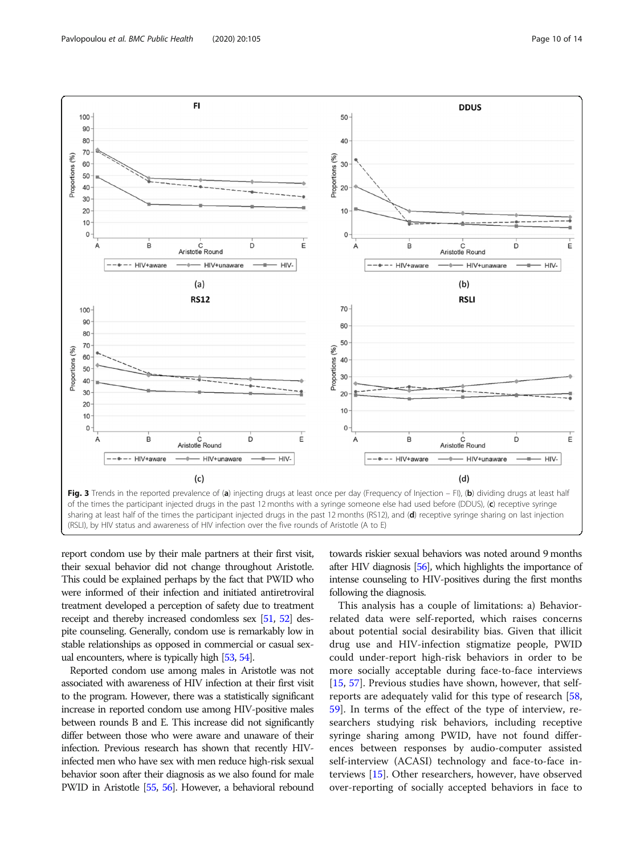<span id="page-9-0"></span>

report condom use by their male partners at their first visit, their sexual behavior did not change throughout Aristotle. This could be explained perhaps by the fact that PWID who were informed of their infection and initiated antiretroviral treatment developed a perception of safety due to treatment receipt and thereby increased condomless sex [[51,](#page-12-0) [52\]](#page-12-0) despite counseling. Generally, condom use is remarkably low in stable relationships as opposed in commercial or casual sexual encounters, where is typically high [[53,](#page-12-0) [54\]](#page-12-0).

Reported condom use among males in Aristotle was not associated with awareness of HIV infection at their first visit to the program. However, there was a statistically significant increase in reported condom use among HIV-positive males between rounds B and E. This increase did not significantly differ between those who were aware and unaware of their infection. Previous research has shown that recently HIVinfected men who have sex with men reduce high-risk sexual behavior soon after their diagnosis as we also found for male PWID in Aristotle [\[55,](#page-12-0) [56](#page-12-0)]. However, a behavioral rebound

towards riskier sexual behaviors was noted around 9 months after HIV diagnosis [[56\]](#page-12-0), which highlights the importance of intense counseling to HIV-positives during the first months following the diagnosis.

This analysis has a couple of limitations: a) Behaviorrelated data were self-reported, which raises concerns about potential social desirability bias. Given that illicit drug use and HIV-infection stigmatize people, PWID could under-report high-risk behaviors in order to be more socially acceptable during face-to-face interviews [[15,](#page-11-0) [57\]](#page-12-0). Previous studies have shown, however, that selfreports are adequately valid for this type of research [[58](#page-12-0), [59\]](#page-13-0). In terms of the effect of the type of interview, researchers studying risk behaviors, including receptive syringe sharing among PWID, have not found differences between responses by audio-computer assisted self-interview (ACASI) technology and face-to-face interviews [\[15](#page-11-0)]. Other researchers, however, have observed over-reporting of socially accepted behaviors in face to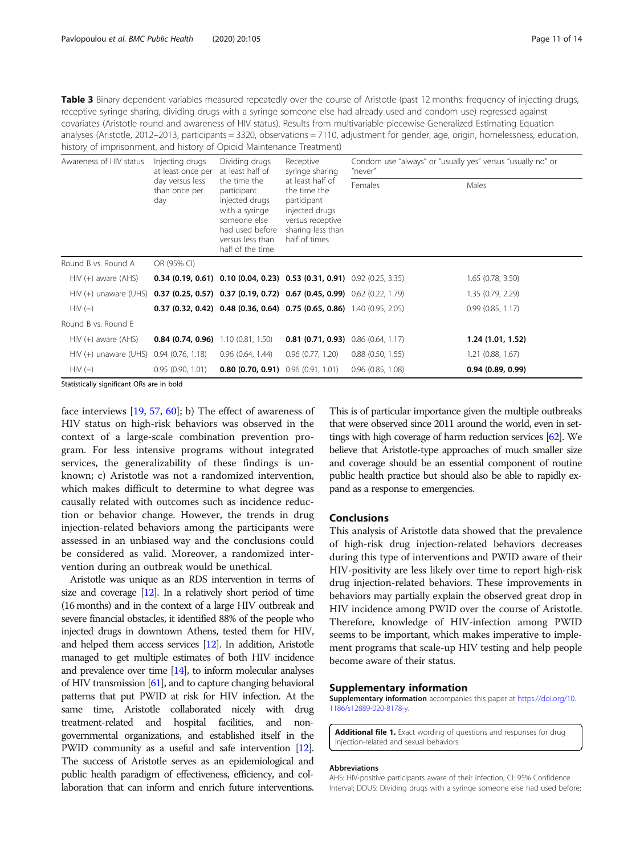<span id="page-10-0"></span>Table 3 Binary dependent variables measured repeatedly over the course of Aristotle (past 12 months: frequency of injecting drugs, receptive syringe sharing, dividing drugs with a syringe someone else had already used and condom use) regressed against covariates (Aristotle round and awareness of HIV status). Results from multivariable piecewise Generalized Estimating Equation analyses (Aristotle, 2012–2013, participants = 3320, observations = 7110, adjustment for gender, age, origin, homelessness, education, history of imprisonment, and history of Opioid Maintenance Treatment)

| Awareness of HIV status                 | Injecting drugs<br>Dividing drugs<br>at least half of<br>at least once per<br>day versus less<br>the time the<br>than once per<br>participant<br>injected drugs<br>day<br>with a syringe<br>someone else<br>had used before<br>versus less than<br>half of the time |                                                                                                                             | Receptive<br>syringe sharing                                            | Condom use "always" or "usually yes" versus "usually no" or<br>"never" |                   |  |
|-----------------------------------------|---------------------------------------------------------------------------------------------------------------------------------------------------------------------------------------------------------------------------------------------------------------------|-----------------------------------------------------------------------------------------------------------------------------|-------------------------------------------------------------------------|------------------------------------------------------------------------|-------------------|--|
|                                         |                                                                                                                                                                                                                                                                     | at least half of<br>the time the<br>participant<br>injected drugs<br>versus receptive<br>sharing less than<br>half of times | Females                                                                 | Males                                                                  |                   |  |
| Round B vs. Round A                     | OR (95% CI)                                                                                                                                                                                                                                                         |                                                                                                                             |                                                                         |                                                                        |                   |  |
| $HIV (+)$ aware $(AHS)$                 |                                                                                                                                                                                                                                                                     |                                                                                                                             | 0.34 (0.19, 0.61) 0.10 (0.04, 0.23) 0.53 (0.31, 0.91) 0.92 (0.25, 3.35) |                                                                        | 1.65(0.78, 3.50)  |  |
| $HIV (+)$ unaware (UHS)                 |                                                                                                                                                                                                                                                                     |                                                                                                                             | 0.37 (0.25, 0.57) 0.37 (0.19, 0.72) 0.67 (0.45, 0.99) 0.62 (0.22, 1.79) |                                                                        | 1.35 (0.79, 2.29) |  |
| $HIV(-)$                                |                                                                                                                                                                                                                                                                     |                                                                                                                             | 0.37 (0.32, 0.42) 0.48 (0.36, 0.64) 0.75 (0.65, 0.86) 1.40 (0.95, 2.05) |                                                                        | 0.99(0.85, 1.17)  |  |
| Round B vs. Round E                     |                                                                                                                                                                                                                                                                     |                                                                                                                             |                                                                         |                                                                        |                   |  |
| $HIV (+)$ aware $(AHS)$                 | <b>0.84 (0.74, 0.96)</b> 1.10 (0.81, 1.50)                                                                                                                                                                                                                          |                                                                                                                             | <b>0.81 (0.71, 0.93)</b> 0.86 (0.64, 1.17)                              |                                                                        | 1.24 (1.01, 1.52) |  |
| HIV (+) unaware (UHS) 0.94 (0.76, 1.18) |                                                                                                                                                                                                                                                                     | 0.96(0.64, 1.44)                                                                                                            | 0.96(0.77, 1.20)                                                        | $0.88$ $(0.50, 1.55)$                                                  | 1.21(0.88, 1.67)  |  |
| $HIV(-)$                                | 0.95(0.90, 1.01)                                                                                                                                                                                                                                                    | <b>0.80 (0.70, 0.91)</b> $0.96$ (0.91, 1.01)                                                                                |                                                                         | $0.96$ $(0.85, 1.08)$                                                  | 0.94(0.89, 0.99)  |  |

Statistically significant ORs are in bold

face interviews [\[19](#page-12-0), [57](#page-12-0), [60](#page-13-0)]; b) The effect of awareness of HIV status on high-risk behaviors was observed in the context of a large-scale combination prevention program. For less intensive programs without integrated services, the generalizability of these findings is unknown; c) Aristotle was not a randomized intervention, which makes difficult to determine to what degree was causally related with outcomes such as incidence reduction or behavior change. However, the trends in drug injection-related behaviors among the participants were assessed in an unbiased way and the conclusions could be considered as valid. Moreover, a randomized intervention during an outbreak would be unethical.

Aristotle was unique as an RDS intervention in terms of size and coverage [\[12](#page-11-0)]. In a relatively short period of time (16 months) and in the context of a large HIV outbreak and severe financial obstacles, it identified 88% of the people who injected drugs in downtown Athens, tested them for HIV, and helped them access services [[12\]](#page-11-0). In addition, Aristotle managed to get multiple estimates of both HIV incidence and prevalence over time [\[14](#page-11-0)], to inform molecular analyses of HIV transmission [[61\]](#page-13-0), and to capture changing behavioral patterns that put PWID at risk for HIV infection. At the same time, Aristotle collaborated nicely with drug treatment-related and hospital facilities, and nongovernmental organizations, and established itself in the PWID community as a useful and safe intervention [\[12\]](#page-11-0). The success of Aristotle serves as an epidemiological and public health paradigm of effectiveness, efficiency, and collaboration that can inform and enrich future interventions.

This is of particular importance given the multiple outbreaks that were observed since 2011 around the world, even in settings with high coverage of harm reduction services [\[62](#page-13-0)]. We believe that Aristotle-type approaches of much smaller size and coverage should be an essential component of routine public health practice but should also be able to rapidly expand as a response to emergencies.

# Conclusions

This analysis of Aristotle data showed that the prevalence of high-risk drug injection-related behaviors decreases during this type of interventions and PWID aware of their HIV-positivity are less likely over time to report high-risk drug injection-related behaviors. These improvements in behaviors may partially explain the observed great drop in HIV incidence among PWID over the course of Aristotle. Therefore, knowledge of HIV-infection among PWID seems to be important, which makes imperative to implement programs that scale-up HIV testing and help people become aware of their status.

# Supplementary information

Supplementary information accompanies this paper at [https://doi.org/10.](https://doi.org/10.1186/s12889-020-8178-y) [1186/s12889-020-8178-y](https://doi.org/10.1186/s12889-020-8178-y).

Additional file 1. Exact wording of questions and responses for drug injection-related and sexual behaviors.

#### Abbreviations

AHS: HIV-positive participants aware of their infection; CI: 95% Confidence Interval; DDUS: Dividing drugs with a syringe someone else had used before;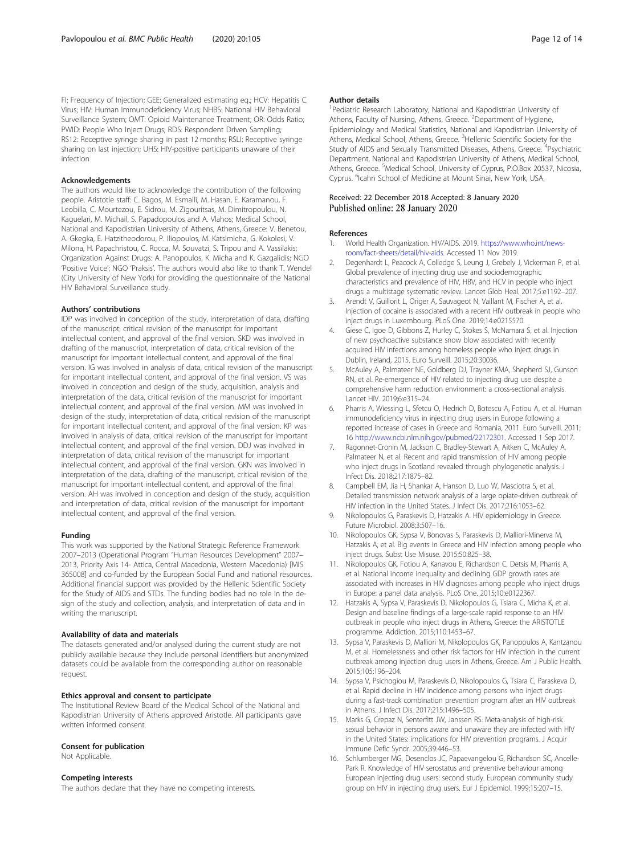<span id="page-11-0"></span>FI: Frequency of Injection; GEE: Generalized estimating eq.; HCV: Hepatitis C Virus; HIV: Human Immunodeficiency Virus; NHBS: National HIV Behavioral Surveillance System; OMT: Opioid Maintenance Treatment; OR: Odds Ratio; PWID: People Who Inject Drugs; RDS: Respondent Driven Sampling; RS12: Receptive syringe sharing in past 12 months; RSLI: Receptive syringe sharing on last injection; UHS: HIV-positive participants unaware of their infection

#### Acknowledgements

The authors would like to acknowledge the contribution of the following people. Aristotle staff: C. Bagos, M. Esmaili, M. Hasan, E. Karamanou, F. Leobilla, C. Mourtezou, E. Sidrou, M. Zigouritsas, M. Dimitropoulou, N. Kaguelari, M. Michail, S. Papadopoulos and A. Vlahos; Medical School, National and Kapodistrian University of Athens, Athens, Greece: V. Benetou, A. Gkegka, E. Hatzitheodorou, P. Iliopoulos, M. Katsimicha, G. Kokolesi, V. Milona, H. Papachristou, C. Rocca, M. Souvatzi, S. Tripou and A. Vassilakis; Organization Against Drugs: A. Panopoulos, K. Micha and K. Gazgalidis; NGO 'Positive Voice'; NGO 'Praksis'. The authors would also like to thank T. Wendel (City University of New York) for providing the questionnaire of the National HIV Behavioral Surveillance study.

#### Authors' contributions

IDP was involved in conception of the study, interpretation of data, drafting of the manuscript, critical revision of the manuscript for important intellectual content, and approval of the final version. SKD was involved in drafting of the manuscript, interpretation of data, critical revision of the manuscript for important intellectual content, and approval of the final version. IG was involved in analysis of data, critical revision of the manuscript for important intellectual content, and approval of the final version. VS was involved in conception and design of the study, acquisition, analysis and interpretation of the data, critical revision of the manuscript for important intellectual content, and approval of the final version. MM was involved in design of the study, interpretation of data, critical revision of the manuscript for important intellectual content, and approval of the final version. KP was involved in analysis of data, critical revision of the manuscript for important intellectual content, and approval of the final version. DDJ was involved in interpretation of data, critical revision of the manuscript for important intellectual content, and approval of the final version. GKN was involved in interpretation of the data, drafting of the manuscript, critical revision of the manuscript for important intellectual content, and approval of the final version. AH was involved in conception and design of the study, acquisition and interpretation of data, critical revision of the manuscript for important intellectual content, and approval of the final version.

#### Funding

This work was supported by the National Strategic Reference Framework 2007–2013 (Operational Program "Human Resources Development" 2007– 2013, Priority Axis 14- Attica, Central Macedonia, Western Macedonia) [MIS 365008] and co-funded by the European Social Fund and national resources. Additional financial support was provided by the Hellenic Scientific Society for the Study of AIDS and STDs. The funding bodies had no role in the design of the study and collection, analysis, and interpretation of data and in writing the manuscript.

### Availability of data and materials

The datasets generated and/or analysed during the current study are not publicly available because they include personal identifiers but anonymized datasets could be available from the corresponding author on reasonable request.

# Ethics approval and consent to participate

The Institutional Review Board of the Medical School of the National and Kapodistrian University of Athens approved Aristotle. All participants gave written informed consent.

# Consent for publication

Not Applicable.

# Competing interests

The authors declare that they have no competing interests.

### Author details

<sup>1</sup> Pediatric Research Laboratory, National and Kapodistrian University of Athens, Faculty of Nursing, Athens, Greece. <sup>2</sup>Department of Hygiene Epidemiology and Medical Statistics, National and Kapodistrian University of Athens, Medical School, Athens, Greece. <sup>3</sup>Hellenic Scientific Society for the Study of AIDS and Sexually Transmitted Diseases, Athens, Greece. <sup>4</sup>Psychiatric Department, National and Kapodistrian University of Athens, Medical School, Athens, Greece. <sup>5</sup>Medical School, University of Cyprus, P.O.Box 20537, Nicosia, Cyprus. <sup>6</sup>Icahn School of Medicine at Mount Sinai, New York, USA

# Received: 22 December 2018 Accepted: 8 January 2020 Published online: 28 January 2020

### References

- 1. World Health Organization. HIV/AIDS. 2019. [https://www.who.int/news](https://www.who.int/news-room/fact-sheets/detail/hiv-aids)[room/fact-sheets/detail/hiv-aids](https://www.who.int/news-room/fact-sheets/detail/hiv-aids). Accessed 11 Nov 2019.
- 2. Degenhardt L, Peacock A, Colledge S, Leung J, Grebely J, Vickerman P, et al. Global prevalence of injecting drug use and sociodemographic characteristics and prevalence of HIV, HBV, and HCV in people who inject drugs: a multistage systematic review. Lancet Glob Heal. 2017;5:e1192–207.
- 3. Arendt V, Guillorit L, Origer A, Sauvageot N, Vaillant M, Fischer A, et al. Injection of cocaine is associated with a recent HIV outbreak in people who inject drugs in Luxembourg. PLoS One. 2019;14:e0215570.
- 4. Giese C, Igoe D, Gibbons Z, Hurley C, Stokes S, McNamara S, et al. Injection of new psychoactive substance snow blow associated with recently acquired HIV infections among homeless people who inject drugs in Dublin, Ireland, 2015. Euro Surveill. 2015;20:30036.
- 5. McAuley A, Palmateer NE, Goldberg DJ, Trayner KMA, Shepherd SJ, Gunson RN, et al. Re-emergence of HIV related to injecting drug use despite a comprehensive harm reduction environment: a cross-sectional analysis. Lancet HIV. 2019;6:e315–24.
- 6. Pharris A, Wiessing L, Sfetcu O, Hedrich D, Botescu A, Fotiou A, et al. Human immunodeficiency virus in injecting drug users in Europe following a reported increase of cases in Greece and Romania, 2011. Euro Surveill. 2011; 16 [http://www.ncbi.nlm.nih.gov/pubmed/22172301.](http://www.ncbi.nlm.nih.gov/pubmed/22172301) Accessed 1 Sep 2017.
- Ragonnet-Cronin M, Jackson C, Bradley-Stewart A, Aitken C, McAuley A, Palmateer N, et al. Recent and rapid transmission of HIV among people who inject drugs in Scotland revealed through phylogenetic analysis. J Infect Dis. 2018;217:1875–82.
- 8. Campbell EM, Jia H, Shankar A, Hanson D, Luo W, Masciotra S, et al. Detailed transmission network analysis of a large opiate-driven outbreak of HIV infection in the United States. J Infect Dis. 2017;216:1053–62.
- 9. Nikolopoulos G, Paraskevis D, Hatzakis A. HIV epidemiology in Greece. Future Microbiol. 2008;3:507–16.
- 10. Nikolopoulos GK, Sypsa V, Bonovas S, Paraskevis D, Malliori-Minerva M, Hatzakis A, et al. Big events in Greece and HIV infection among people who inject drugs. Subst Use Misuse. 2015;50:825–38.
- 11. Nikolopoulos GK, Fotiou A, Kanavou E, Richardson C, Detsis M, Pharris A, et al. National income inequality and declining GDP growth rates are associated with increases in HIV diagnoses among people who inject drugs in Europe: a panel data analysis. PLoS One. 2015;10:e0122367.
- 12. Hatzakis A, Sypsa V, Paraskevis D, Nikolopoulos G, Tsiara C, Micha K, et al. Design and baseline findings of a large-scale rapid response to an HIV outbreak in people who inject drugs in Athens, Greece: the ARISTOTLE programme. Addiction. 2015;110:1453–67.
- 13. Sypsa V, Paraskevis D, Malliori M, Nikolopoulos GK, Panopoulos A, Kantzanou M, et al. Homelessness and other risk factors for HIV infection in the current outbreak among injection drug users in Athens, Greece. Am J Public Health. 2015;105:196–204.
- 14. Sypsa V, Psichogiou M, Paraskevis D, Nikolopoulos G, Tsiara C, Paraskeva D, et al. Rapid decline in HIV incidence among persons who inject drugs during a fast-track combination prevention program after an HIV outbreak in Athens. J Infect Dis. 2017;215:1496–505.
- 15. Marks G, Crepaz N, Senterfitt JW, Janssen RS. Meta-analysis of high-risk sexual behavior in persons aware and unaware they are infected with HIV in the United States: implications for HIV prevention programs. J Acquir Immune Defic Syndr. 2005;39:446–53.
- 16. Schlumberger MG, Desenclos JC, Papaevangelou G, Richardson SC, Ancelle-Park R. Knowledge of HIV serostatus and preventive behaviour among European injecting drug users: second study. European community study group on HIV in injecting drug users. Eur J Epidemiol. 1999;15:207–15.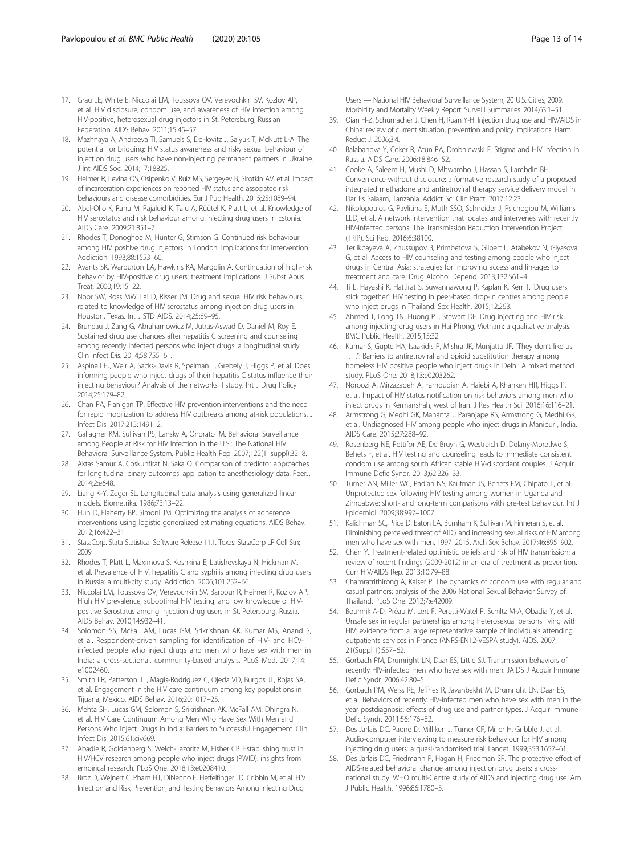- <span id="page-12-0"></span>17. Grau LE, White E, Niccolai LM, Toussova OV, Verevochkin SV, Kozlov AP, et al. HIV disclosure, condom use, and awareness of HIV infection among HIV-positive, heterosexual drug injectors in St. Petersburg, Russian Federation. AIDS Behav. 2011;15:45–57.
- 18. Mazhnaya A, Andreeva TI, Samuels S, DeHovitz J, Salyuk T, McNutt L-A. The potential for bridging: HIV status awareness and risky sexual behaviour of injection drug users who have non-injecting permanent partners in Ukraine. J Int AIDS Soc. 2014;17:18825.
- 19. Heimer R, Levina OS, Osipenko V, Ruiz MS, Sergeyev B, Sirotkin AV, et al. Impact of incarceration experiences on reported HIV status and associated risk behaviours and disease comorbidities. Eur J Pub Health. 2015;25:1089–94.
- 20. Abel-Ollo K, Rahu M, Rajaleid K, Talu A, Rüütel K, Platt L, et al. Knowledge of HIV serostatus and risk behaviour among injecting drug users in Estonia. AIDS Care. 2009;21:851–7.
- 21. Rhodes T, Donoghoe M, Hunter G, Stimson G. Continued risk behaviour among HIV positive drug injectors in London: implications for intervention. Addiction. 1993;88:1553–60.
- 22. Avants SK, Warburton LA, Hawkins KA, Margolin A. Continuation of high-risk behavior by HIV-positive drug users: treatment implications. J Subst Abus Treat. 2000;19:15–22.
- 23. Noor SW, Ross MW, Lai D, Risser JM. Drug and sexual HIV risk behaviours related to knowledge of HIV serostatus among injection drug users in Houston, Texas. Int J STD AIDS. 2014;25:89–95.
- 24. Bruneau J, Zang G, Abrahamowicz M, Jutras-Aswad D, Daniel M, Roy E. Sustained drug use changes after hepatitis C screening and counseling among recently infected persons who inject drugs: a longitudinal study. Clin Infect Dis. 2014;58:755–61.
- 25. Aspinall EJ, Weir A, Sacks-Davis R, Spelman T, Grebely J, Higgs P, et al. Does informing people who inject drugs of their hepatitis C status influence their injecting behaviour? Analysis of the networks II study. Int J Drug Policy. 2014;25:179–82.
- 26. Chan PA, Flanigan TP. Effective HIV prevention interventions and the need for rapid mobilization to address HIV outbreaks among at-risk populations. J Infect Dis. 2017;215:1491–2.
- 27. Gallagher KM, Sullivan PS, Lansky A, Onorato IM. Behavioral Surveillance among People at Risk for HIV Infection in the U.S.: The National HIV Behavioral Surveillance System. Public Health Rep. 2007;122(1\_suppl):32–8.
- 28. Aktas Samur A, Coskunfirat N, Saka O. Comparison of predictor approaches for longitudinal binary outcomes: application to anesthesiology data. PeerJ. 2014;2:e648.
- 29. Liang K-Y, Zeger SL. Longitudinal data analysis using generalized linear models. Biometrika. 1986;73:13–22.
- 30. Huh D, Flaherty BP, Simoni JM. Optimizing the analysis of adherence interventions using logistic generalized estimating equations. AIDS Behav. 2012;16:422–31.
- 31. StataCorp. Stata Statistical Software Release 11.1. Texas: StataCorp LP Coll Stn; 2009.
- 32. Rhodes T, Platt L, Maximova S, Koshkina E, Latishevskaya N, Hickman M, et al. Prevalence of HIV, hepatitis C and syphilis among injecting drug users in Russia: a multi-city study. Addiction. 2006;101:252–66.
- 33. Niccolai LM, Toussova OV, Verevochkin SV, Barbour R, Heimer R, Kozlov AP. High HIV prevalence, suboptimal HIV testing, and low knowledge of HIVpositive Serostatus among injection drug users in St. Petersburg, Russia. AIDS Behav. 2010;14:932–41.
- 34. Solomon SS, McFall AM, Lucas GM, Srikrishnan AK, Kumar MS, Anand S, et al. Respondent-driven sampling for identification of HIV- and HCVinfected people who inject drugs and men who have sex with men in India: a cross-sectional, community-based analysis. PLoS Med. 2017;14: e1002460.
- 35. Smith LR, Patterson TL, Magis-Rodriguez C, Ojeda VD, Burgos JL, Rojas SA, et al. Engagement in the HIV care continuum among key populations in Tijuana, Mexico. AIDS Behav. 2016;20:1017–25.
- 36. Mehta SH, Lucas GM, Solomon S, Srikrishnan AK, McFall AM, Dhingra N, et al. HIV Care Continuum Among Men Who Have Sex With Men and Persons Who Inject Drugs in India: Barriers to Successful Engagement. Clin Infect Dis. 2015;61:civ669.
- 37. Abadie R, Goldenberg S, Welch-Lazoritz M, Fisher CB. Establishing trust in HIV/HCV research among people who inject drugs (PWID): insights from empirical research. PLoS One. 2018;13:e0208410.
- 38. Broz D, Wejnert C, Pham HT, DiNenno E, Heffelfinger JD, Cribbin M, et al. HIV Infection and Risk, Prevention, and Testing Behaviors Among Injecting Drug

Users — National HIV Behavioral Surveillance System, 20 U.S. Cities, 2009. Morbidity and Mortality Weekly Report: Surveill Summaries. 2014;63:1–51.

- 39. Qian H-Z, Schumacher J, Chen H, Ruan Y-H. Injection drug use and HIV/AIDS in China: review of current situation, prevention and policy implications. Harm Reduct J. 2006;3:4.
- 40. Balabanova Y, Coker R, Atun RA, Drobniewski F. Stigma and HIV infection in Russia. AIDS Care. 2006;18:846–52.
- 41. Cooke A, Saleem H, Mushi D, Mbwambo J, Hassan S, Lambdin BH. Convenience without disclosure: a formative research study of a proposed integrated methadone and antiretroviral therapy service delivery model in Dar Es Salaam, Tanzania. Addict Sci Clin Pract. 2017;12:23.
- 42. Nikolopoulos G, Pavlitina E, Muth SSQ, Schneider J, Psichogiou M, Williams LLD, et al. A network intervention that locates and intervenes with recently HIV-infected persons: The Transmission Reduction Intervention Project (TRIP). Sci Rep. 2016;6:38100.
- 43. Terlikbayeva A, Zhussupov B, Primbetova S, Gilbert L, Atabekov N, Giyasova G, et al. Access to HIV counseling and testing among people who inject drugs in Central Asia: strategies for improving access and linkages to treatment and care. Drug Alcohol Depend. 2013;132:S61–4.
- 44. Ti L, Hayashi K, Hattirat S, Suwannawong P, Kaplan K, Kerr T. 'Drug users stick together': HIV testing in peer-based drop-in centres among people who inject drugs in Thailand. Sex Health. 2015;12:263.
- 45. Ahmed T, Long TN, Huong PT, Stewart DE. Drug injecting and HIV risk among injecting drug users in Hai Phong, Vietnam: a qualitative analysis. BMC Public Health. 2015;15:32.
- 46. Kumar S, Gupte HA, Isaakidis P, Mishra JK, Munjattu JF. "They don't like us … .": Barriers to antiretroviral and opioid substitution therapy among homeless HIV positive people who inject drugs in Delhi: A mixed method study. PLoS One. 2018;13:e0203262.
- 47. Noroozi A, Mirzazadeh A, Farhoudian A, Hajebi A, Khankeh HR, Higgs P, et al. Impact of HIV status notification on risk behaviors among men who inject drugs in Kermanshah, west of Iran. J Res Health Sci. 2016;16:116–21.
- 48. Armstrong G, Medhi GK, Mahanta J, Paranjape RS, Armstrong G, Medhi GK, et al. Undiagnosed HIV among people who inject drugs in Manipur , India. AIDS Care. 2015;27:288–92.
- 49. Rosenberg NE, Pettifor AE, De Bruyn G, Westreich D, Delany-Moretlwe S, Behets F, et al. HIV testing and counseling leads to immediate consistent condom use among south African stable HIV-discordant couples. J Acquir Immune Defic Syndr. 2013;62:226–33.
- 50. Turner AN, Miller WC, Padian NS, Kaufman JS, Behets FM, Chipato T, et al. Unprotected sex following HIV testing among women in Uganda and Zimbabwe: short- and long-term comparisons with pre-test behaviour. Int J Epidemiol. 2009;38:997–1007.
- 51. Kalichman SC, Price D, Eaton LA, Burnham K, Sullivan M, Finneran S, et al. Diminishing perceived threat of AIDS and increasing sexual risks of HIV among men who have sex with men, 1997–2015. Arch Sex Behav. 2017;46:895–902.
- 52. Chen Y. Treatment-related optimistic beliefs and risk of HIV transmission: a review of recent findings (2009-2012) in an era of treatment as prevention. Curr HIV/AIDS Rep. 2013;10:79–88.
- 53. Chamratrithirong A, Kaiser P. The dynamics of condom use with regular and casual partners: analysis of the 2006 National Sexual Behavior Survey of Thailand. PLoS One. 2012;7:e42009.
- 54. Bouhnik A-D, Préau M, Lert F, Peretti-Watel P, Schiltz M-A, Obadia Y, et al. Unsafe sex in regular partnerships among heterosexual persons living with HIV: evidence from a large representative sample of individuals attending outpatients services in France (ANRS-EN12-VESPA study). AIDS. 2007; 21(Suppl 1):S57–62.
- 55. Gorbach PM, Drumright LN, Daar ES, Little SJ. Transmission behaviors of recently HIV-infected men who have sex with men. JAIDS J Acquir Immune Defic Syndr. 2006;42:80–5.
- 56. Gorbach PM, Weiss RE, Jeffries R, Javanbakht M, Drumright LN, Daar ES, et al. Behaviors of recently HIV-infected men who have sex with men in the year postdiagnosis: effects of drug use and partner types. J Acquir Immune Defic Syndr. 2011;56:176–82.
- 57. Des Jarlais DC, Paone D, Milliken J, Turner CF, Miller H, Gribble J, et al. Audio-computer interviewing to measure risk behaviour for HIV among injecting drug users: a quasi-randomised trial. Lancet. 1999;353:1657–61.
- 58. Des Jarlais DC, Friedmann P, Hagan H, Friedman SR. The protective effect of AIDS-related behavioral change among injection drug users: a crossnational study. WHO multi-Centre study of AIDS and injecting drug use. Am J Public Health. 1996;86:1780–5.